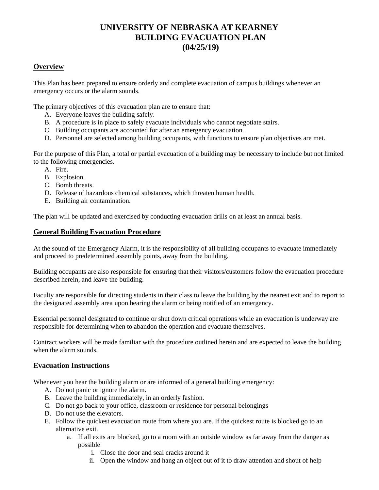# **UNIVERSITY OF NEBRASKA AT KEARNEY BUILDING EVACUATION PLAN (04/25/19)**

# **Overview**

This Plan has been prepared to ensure orderly and complete evacuation of campus buildings whenever an emergency occurs or the alarm sounds.

The primary objectives of this evacuation plan are to ensure that:

- A. Everyone leaves the building safely.
- B. A procedure is in place to safely evacuate individuals who cannot negotiate stairs.
- C. Building occupants are accounted for after an emergency evacuation.
- D. Personnel are selected among building occupants, with functions to ensure plan objectives are met.

For the purpose of this Plan, a total or partial evacuation of a building may be necessary to include but not limited to the following emergencies.

- A. Fire.
- B. Explosion.
- C. Bomb threats.
- D. Release of hazardous chemical substances, which threaten human health.
- E. Building air contamination.

The plan will be updated and exercised by conducting evacuation drills on at least an annual basis.

# **General Building Evacuation Procedure**

At the sound of the Emergency Alarm, it is the responsibility of all building occupants to evacuate immediately and proceed to predetermined assembly points, away from the building.

Building occupants are also responsible for ensuring that their visitors/customers follow the evacuation procedure described herein, and leave the building.

Faculty are responsible for directing students in their class to leave the building by the nearest exit and to report to the designated assembly area upon hearing the alarm or being notified of an emergency.

Essential personnel designated to continue or shut down critical operations while an evacuation is underway are responsible for determining when to abandon the operation and evacuate themselves.

Contract workers will be made familiar with the procedure outlined herein and are expected to leave the building when the alarm sounds.

# **Evacuation Instructions**

Whenever you hear the building alarm or are informed of a general building emergency:

- A. Do not panic or ignore the alarm.
- B. Leave the building immediately, in an orderly fashion.
- C. Do not go back to your office, classroom or residence for personal belongings
- D. Do not use the elevators.
- E. Follow the quickest evacuation route from where you are. If the quickest route is blocked go to an alternative exit.
	- a. If all exits are blocked, go to a room with an outside window as far away from the danger as possible
		- i. Close the door and seal cracks around it
		- ii. Open the window and hang an object out of it to draw attention and shout of help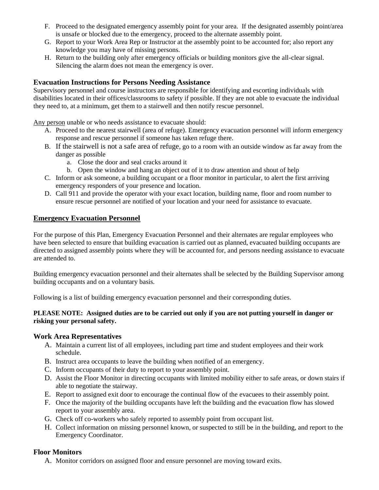- F. Proceed to the designated emergency assembly point for your area. If the designated assembly point/area is unsafe or blocked due to the emergency, proceed to the alternate assembly point.
- G. Report to your Work Area Rep or Instructor at the assembly point to be accounted for; also report any knowledge you may have of missing persons.
- H. Return to the building only after emergency officials or building monitors give the all-clear signal. Silencing the alarm does not mean the emergency is over.

# **Evacuation Instructions for Persons Needing Assistance**

Supervisory personnel and course instructors are responsible for identifying and escorting individuals with disabilities located in their offices/classrooms to safety if possible. If they are not able to evacuate the individual they need to, at a minimum, get them to a stairwell and then notify rescue personnel.

Any person unable or who needs assistance to evacuate should:

- A. Proceed to the nearest stairwell (area of refuge). Emergency evacuation personnel will inform emergency response and rescue personnel if someone has taken refuge there.
- B. If the stairwell is not a safe area of refuge, go to a room with an outside window as far away from the danger as possible
	- a. Close the door and seal cracks around it
	- b. Open the window and hang an object out of it to draw attention and shout of help
- C. Inform or ask someone, a building occupant or a floor monitor in particular, to alert the first arriving emergency responders of your presence and location.
- D. Call 911 and provide the operator with your exact location, building name, floor and room number to ensure rescue personnel are notified of your location and your need for assistance to evacuate.

#### **Emergency Evacuation Personnel**

For the purpose of this Plan, Emergency Evacuation Personnel and their alternates are regular employees who have been selected to ensure that building evacuation is carried out as planned, evacuated building occupants are directed to assigned assembly points where they will be accounted for, and persons needing assistance to evacuate are attended to.

Building emergency evacuation personnel and their alternates shall be selected by the Building Supervisor among building occupants and on a voluntary basis.

Following is a list of building emergency evacuation personnel and their corresponding duties.

#### **PLEASE NOTE: Assigned duties are to be carried out only if you are not putting yourself in danger or risking your personal safety.**

#### **Work Area Representatives**

- A. Maintain a current list of all employees, including part time and student employees and their work schedule.
- B. Instruct area occupants to leave the building when notified of an emergency.
- C. Inform occupants of their duty to report to your assembly point.
- D. Assist the Floor Monitor in directing occupants with limited mobility either to safe areas, or down stairs if able to negotiate the stairway.
- E. Report to assigned exit door to encourage the continual flow of the evacuees to their assembly point.
- F. Once the majority of the building occupants have left the building and the evacuation flow has slowed report to your assembly area.
- G. Check off co-workers who safely reported to assembly point from occupant list.
- H. Collect information on missing personnel known, or suspected to still be in the building, and report to the Emergency Coordinator.

# **Floor Monitors**

A. Monitor corridors on assigned floor and ensure personnel are moving toward exits.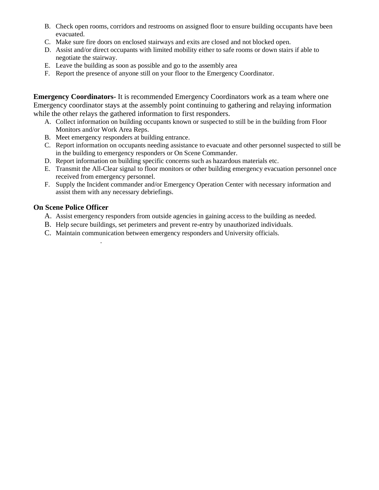- B. Check open rooms, corridors and restrooms on assigned floor to ensure building occupants have been evacuated.
- C. Make sure fire doors on enclosed stairways and exits are closed and not blocked open.
- D. Assist and/or direct occupants with limited mobility either to safe rooms or down stairs if able to negotiate the stairway.
- E. Leave the building as soon as possible and go to the assembly area
- F. Report the presence of anyone still on your floor to the Emergency Coordinator.

**Emergency Coordinators-** It is recommended Emergency Coordinators work as a team where one Emergency coordinator stays at the assembly point continuing to gathering and relaying information while the other relays the gathered information to first responders.

- A. Collect information on building occupants known or suspected to still be in the building from Floor Monitors and/or Work Area Reps.
- B. Meet emergency responders at building entrance.

.

- C. Report information on occupants needing assistance to evacuate and other personnel suspected to still be in the building to emergency responders or On Scene Commander.
- D. Report information on building specific concerns such as hazardous materials etc.
- E. Transmit the All-Clear signal to floor monitors or other building emergency evacuation personnel once received from emergency personnel.
- F. Supply the Incident commander and/or Emergency Operation Center with necessary information and assist them with any necessary debriefings.

# **On Scene Police Officer**

- A. Assist emergency responders from outside agencies in gaining access to the building as needed.
- B. Help secure buildings, set perimeters and prevent re-entry by unauthorized individuals.
- C. Maintain communication between emergency responders and University officials.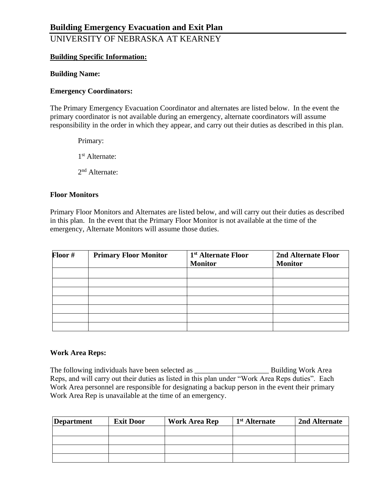UNIVERSITY OF NEBRASKA AT KEARNEY

# **Building Specific Information:**

# **Building Name:**

# **Emergency Coordinators:**

The Primary Emergency Evacuation Coordinator and alternates are listed below. In the event the primary coordinator is not available during an emergency, alternate coordinators will assume responsibility in the order in which they appear, and carry out their duties as described in this plan.

Primary: 1 st Alternate: 2<sup>nd</sup> Alternate:

# **Floor Monitors**

Primary Floor Monitors and Alternates are listed below, and will carry out their duties as described in this plan. In the event that the Primary Floor Monitor is not available at the time of the emergency, Alternate Monitors will assume those duties.

| Floor # | <b>Primary Floor Monitor</b> | 1 <sup>st</sup> Alternate Floor<br><b>Monitor</b> | 2nd Alternate Floor<br><b>Monitor</b> |
|---------|------------------------------|---------------------------------------------------|---------------------------------------|
|         |                              |                                                   |                                       |
|         |                              |                                                   |                                       |
|         |                              |                                                   |                                       |
|         |                              |                                                   |                                       |
|         |                              |                                                   |                                       |
|         |                              |                                                   |                                       |
|         |                              |                                                   |                                       |

# **Work Area Reps:**

The following individuals have been selected as \_\_\_\_\_\_\_\_\_\_\_\_\_\_\_\_\_\_\_\_ Building Work Area Reps, and will carry out their duties as listed in this plan under "Work Area Reps duties". Each Work Area personnel are responsible for designating a backup person in the event their primary Work Area Rep is unavailable at the time of an emergency.

| <b>Department</b> | <b>Exit Door</b> | <b>Work Area Rep</b> | 1 <sup>st</sup> Alternate | 2nd Alternate |
|-------------------|------------------|----------------------|---------------------------|---------------|
|                   |                  |                      |                           |               |
|                   |                  |                      |                           |               |
|                   |                  |                      |                           |               |
|                   |                  |                      |                           |               |